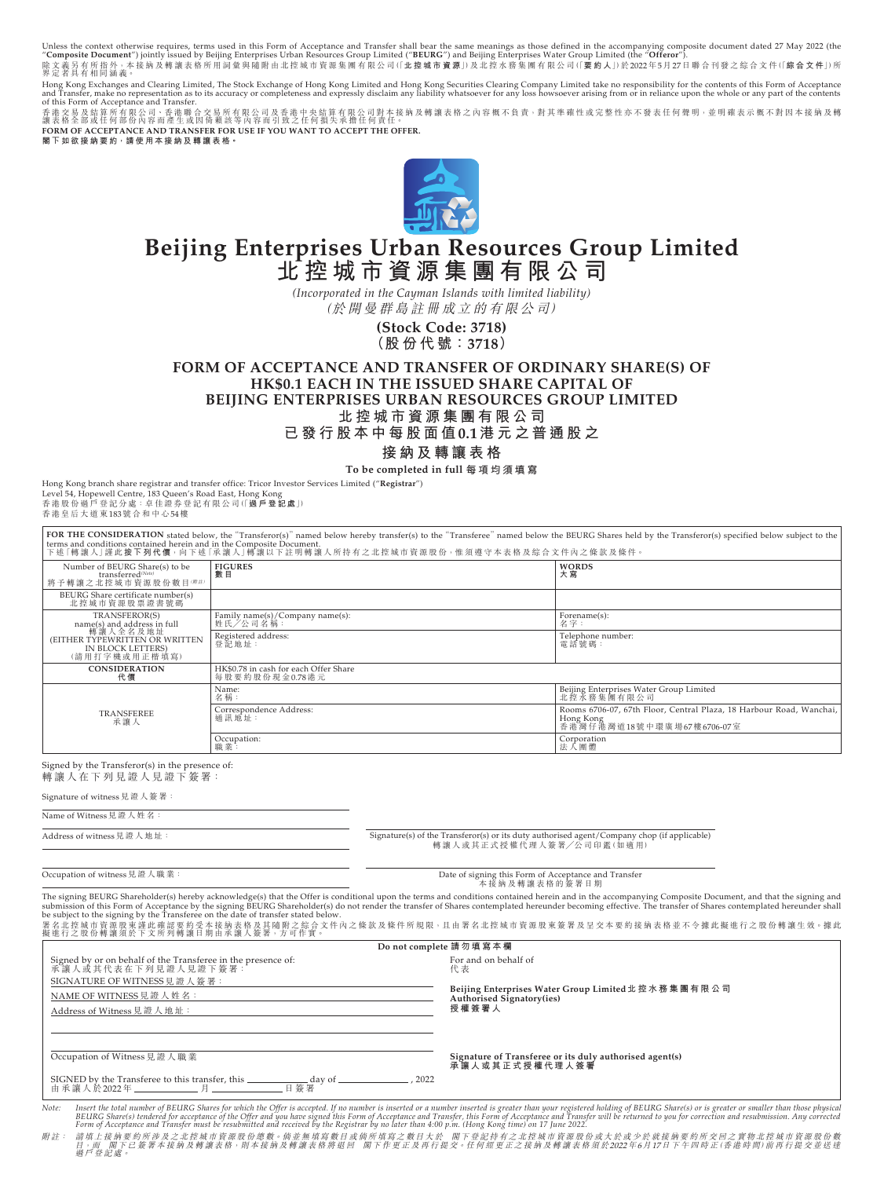Unless the context otherwise requires, terms used in this Form of Acceptance and Transfer shall bear the same meanings as those defined in the accompanying composite document dated 27 May 2022 (the<br>"Composite Document") j

Hong Kong Exchanges and Clearing Limited, The Stock Exchange of Hong Kong Limited and Hong Kong Securities Clearing Company Limited take no responsibility for the contents of this Form of Acceptance<br>and Transfer, make no r

香港交易及結算所有限公司、香港聯合交易所有限公司及香港中央結算有限公司對本接納及轉讓表格之內容概不負責,對其準確性或完整性亦不發表任何聲明,並明確表示概不對因本接納及轉<br>讓表格全部或任何部份內容而產生或因倚賴該等內容而引致之任何損失承擔任何責任。 FORM OF ACCEPTANCE AND TRANSFER FOR USE IF YOU WANT TO ACCEPT THE OFFER.

**閣下如欲接納要約,請使用本接納及轉讓表格。**



# **Beijing Enterprises Urban Resources Group Limited 北控城市資源集團有限公司**

*(Incorporated in the Cayman Islands with limited liability)* (於開曼群島註冊成立的有限公司)

> **(Stock Code: 3718) (股份代號:3718)**

**FORM OF ACCEPTANCE AND TRANSFER OF ORDINARY SHARE(S) OF HK\$0.1 EACH IN THE ISSUED SHARE CAPITAL OF BEIJING ENTERPRISES URBAN RESOURCES GROUP LIMITED 北控城市資源集團有限公司**

**已發行股本中每股面值0.1港元之普通股之**

# **接納及轉讓表格**

**To be completed in full 每項均須填寫**

Hong Kong branch share registrar and transfer office: Tricor Investor Services Limited ("**Registrar**") Level 54, Hopewell Centre, 183 Queen's Road East, Hong Kong<br>香港股份過戶登記分處 : 卓佳證券登記有限公司(「**過戶登記處**」)<br>香港皇后大道東183號合和中心54樓

|                                                                                                                                  | FOR THE CONSIDERATION stated below, the "Transferor(s)" named below hereby transfer(s) to the "Transferee" named below the BEURG Shares held by the Transferor(s) specified below subject to the<br>terms and conditions contained herein and in the Composite Document.<br>下述「轉讓人」謹此按下列代價,向下述「承讓人」轉讓以下註明轉讓人所持有之北控城市資源股份,惟須遵守本表格及綜合文件內之條款及條件。 |                                                                                                               |
|----------------------------------------------------------------------------------------------------------------------------------|-----------------------------------------------------------------------------------------------------------------------------------------------------------------------------------------------------------------------------------------------------------------------------------------------------------------------------------------------|---------------------------------------------------------------------------------------------------------------|
| Number of BEURG Share(s) to be<br>transferred(Note)<br>將予轉讓之北控城市資源股份數目(##)                                                       | <b>FIGURES</b><br>數目                                                                                                                                                                                                                                                                                                                          | <b>WORDS</b><br>大寫                                                                                            |
| BEURG Share certificate number(s)<br>北控城市資源股票證書號碼                                                                                |                                                                                                                                                                                                                                                                                                                                               |                                                                                                               |
| TRANSFEROR(S)<br>name(s) and address in full<br>轉讓人全名及地址<br>(EITHER TYPEWRITTEN OR WRITTEN<br>IN BLOCK LETTERS)<br>(請用打字機或用正楷填寫) | Family name(s)/Company name(s):<br>姓氏/公司名稱:                                                                                                                                                                                                                                                                                                   | Forename(s):<br>名字:                                                                                           |
|                                                                                                                                  | Registered address:<br>登記地址:                                                                                                                                                                                                                                                                                                                  | Telephone number:<br>電話號碼:                                                                                    |
| <b>CONSIDERATION</b><br>代價                                                                                                       | HK\$0.78 in cash for each Offer Share<br>每股要約股份現金0.78港元                                                                                                                                                                                                                                                                                       |                                                                                                               |
| TRANSFEREE<br>承讓人                                                                                                                | Name:<br>名稱:                                                                                                                                                                                                                                                                                                                                  | Beijing Enterprises Water Group Limited<br>北控水務集團有限公司                                                         |
|                                                                                                                                  | Correspondence Address:<br>通訊地址:                                                                                                                                                                                                                                                                                                              | Rooms 6706-07, 67th Floor, Central Plaza, 18 Harbour Road, Wanchai,<br>Hong Kong<br>香港灣仔港灣道18號中環廣場67樓6706-07室 |
|                                                                                                                                  | Occupation:<br>職業:                                                                                                                                                                                                                                                                                                                            | Corporation<br>法人團體                                                                                           |
| Signed by the Transferor(s) in the presence of                                                                                   |                                                                                                                                                                                                                                                                                                                                               |                                                                                                               |

Signed by the Transferor(s) in the presence of: 轉讓人在下列見證人見證下簽署:

由承讓人於2022年 \_\_\_\_\_\_\_\_\_\_\_\_\_\_\_ 月 \_

Signature of witness見證人簽署:

Name of Witness 見證人姓名

Address of witness見證人地址: Signature(s) of the Transferor(s) or its duty authorised agent/Company chop (if applicable) 轉 讓 人 或 其 正 式 授 權 代 理 人 簽 署╱公 司 印 鑑(如 適 用)

Occupation of witness見證人職業: フィンピング この この この この Date of signing this Form of Acceptance and Transfer<br>- 大技納及轉讓表格的簽署日期 The signing BEURG Shareholder(s) hereby acknowledge(s) that the Offer is conditional upon the terms and conditions contained herein and in the accompanying Composite Document, and that the signing and<br>submission of this Fo 署名北控城市資源股東謹此確認要約受本接納表格及其隨附之綜合文件內之條款及條件所規限,且由署名北控城市資源股東簽署及呈交本要約接納表格並不令據此擬進行之股份轉讓生效。據此<br>擬進行之股份轉讓須於下文所列轉讓日期由承讓人簽署,方可作實。 **Do not complete 請勿填寫本欄** Signed by or on behalf of the Transferee in the presence of: 承讓人或其代表在下列見證人見證下簽署: SIGNATURE OF WITNESS見證人簽署: NAME OF WITNESS見證人姓名: Address of Witness見證人地址: Occupation of Witness見證人職業 For and on behalf of 代 表 **Beijing Enterprises Water Group Limited北控水務集團有限公司 Authorised Signatory(ies) 授權簽署人 Signature of Transferee or its duly authorised agent(s) 承讓人或其正式授權代理人簽署** SIGNED by the Transferee to this transfer, this day of , 2022

Note: Insert the total number of BEURG Share(s) bendered for acceptance of the Offer and you have signed this Form of Acceptance and Transfer, this Form of Acceptance and Transfer the Offer and you have signed in Form of 過戶登記處。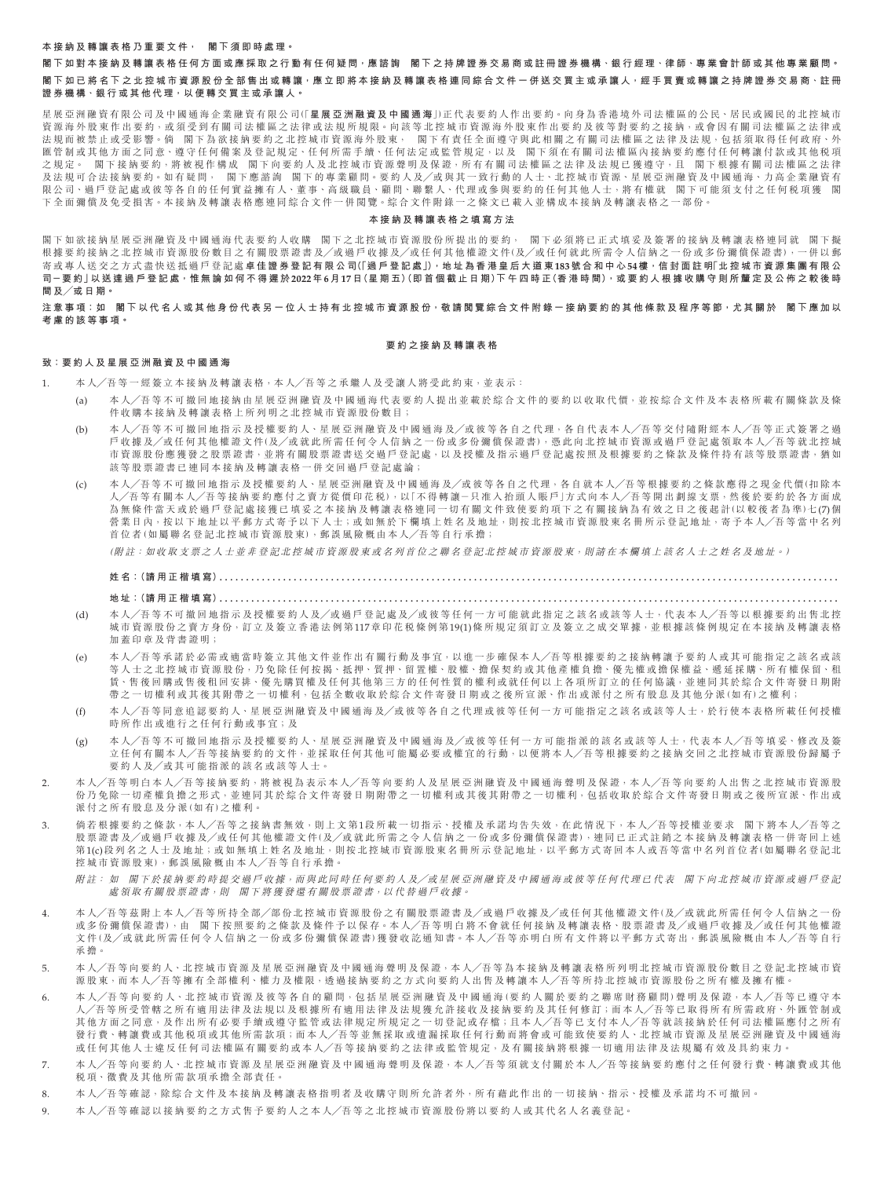#### **本接納及轉讓表格乃重要文件, 閣下須即時處理。**

**閣下如對本接納及轉讓表格任何方面或應採取之行動有任何疑問,應諮詢 閣下之持牌證券交易商或註冊證券機構、銀行經理、律師、專業會計 師或其他專業顧問。 閣下如已將名下之北控城市資源股份全部售出或轉讓,應立即將本接納及轉讓表格連同綜合文件一併送交買主或承讓人,經手買賣或轉讓之持牌 證券交易商、註冊 證券機構、銀行或其他代理,以便轉交買主或承讓人。**

星展亞洲融資有限公司及中國通海企業融資有限公司(「**星展亞洲融資及中國通海**」)正代表要約人作出要約。向身為香港境外司法權區的公民、居民或國民的北控城市 資源海外股東作出要約,或須受到有關司法權區之法律或法規所規限。向該等北控城市資源海外股東作出要約及彼等對要約之接納,或會因有關司法權區之法律或 法規而被禁止或受影響。倘 閣下為欲接納要約之北控城市資源海外股東, 閣下有責任全面遵守與此相關之有關司法權區之法律及法規,包括須取得任何政府、外 匯管制或其他方面之同意、遵守任何備案及登記規定、任何所需手續、任何法定或監管規定,以及 閣下須在有關司法權區內接納要約應付任何轉讓付款或其他税項 之規定。 閣下接納要約,將被視作構成 閣下向要約人及北控城市資源聲明及保證,所有有關司法權區之法律及法規已獲遵守,且 閣下根據 有關司法權區之法律 及法規可合法接納要約。如有疑問, 閣下應諮詢 閣下的專業顧問。要約人及/或與其一致行動的人士、北控城市資源、星展亞洲融資及中國通海、力高企業融資有 限公司、過戶登記處或彼等各自的任何實益擁有人、董事、高級職員、顧問、聯繫人、代理或參與要約的任何其他人士,將有權就 閣下可能須支付之任何税項獲 閣 下全面彌償及免受損害。本接納及轉讓表格應連同綜合文件一併閱覽。綜合文件附錄一之條文已載入並構成本接納及轉讓表格之一部份。

#### **本接納及轉讓表格之填寫方法**

閣下如欲接納星展亞洲融資及中國通海代表要約人收購 閣下之北控城市資源股份所提出的要約, 閣下必須將已正式填妥及簽署的接納及轉讓表格連同就 閣下擬 根據要約接納之北控城市資源股份數目之有關股票證書及╱或過戶收據及╱或任何其他權證文件(及╱或任何就此所需令人信納之一份或多份彌償保證書),一併以郵 寄或專人送交之方式盡快送抵過戶登記處 **卓佳證券登記有限公司(「過戶登記處」),地址為香港皇后大道東183號合和中心54樓,信封面註明「北控城市資源集團有限公 司-要 約」以 送 達 過 戶 登 記 處,惟 無 論 如 何 不 得 遲 於2022年6月17日(星期五)(即首個截止日期)下午四時正(香港時間),或要約人根據收購守則所釐定及公佈之較後時 間及╱或日期。**

**注意事項:如 閣下以代名人或其他身份代表另一位人士持有北控城市資源股份,敬請閱覽綜合文件附錄一接納要約的其他條款及程序等節,尤其關於 閣下應加以 考慮的該等事項。**

#### **要約之接納及轉讓表格**

## **致:要約人及星展亞洲融資及中國通海**

- 1. 本人╱吾等一經簽立本接納及轉讓表格,本人╱吾等之承繼人及受讓人將受此約束,並表示:
	- (a) 本人╱吾等不可撤回地接納由星展亞洲融資及中國通海代表要約人提出並載於綜合文件的要約以收取代價,並按綜合文件及本表格所載有關條款 及 條 件收購本接納及轉讓表格上所列明之北控城市資源股份數目;
	- (b) 本人╱吾等不可撤回地指示及授權要約人、星展亞洲融資及中國通海及╱或彼等各自之代理,各自代表本人╱吾等交付隨附經本人╱吾等正式簽 署之過 戶收據及╱或任何其他權證文件(及╱或就此所需任何令人信納之一份或多份彌償保證書),憑此向北控城市資源或過戶登記處領取本人╱吾等就北控城 市資源股份應獲發之股票證書,並將有關股票證書送交過戶登記處,以及授權及指示過戶登記處按照及根據要約之條款及條件持有該等股票證書,猶如 該等股票證書已連同本接納及轉讓表格一併交回過戶登記處論;
	- (c) 本人╱吾等不可撤回地指示及授權要約人、星展亞洲融資及中國通海及╱或彼等各自之代理,各自就本人╱吾等根據要約之條款應得之現金代價(扣除本 人╱吾等有關本人╱吾等接納要約應付之賣方從價印花稅),以「不得轉讓-只准入抬頭人賬戶」方式向本人╱吾等開出劃線支票,然後於要約於各方面成 為無條件當天或於過戶登記處接獲已填妥之本接納及轉讓表格連同一切有關文件致使要約項下之有關接納為有效之日之後起計(以較後者為準)七(7)個 管業日內,按以下地址以平郵方式寄予以下人士;或如無於下欄填上姓名及地址,則按北控城市資源股東名冊所示登記地址,寄予本人╱吾等當中名列 首位者(如屬聯名登記北控城市資源股東),郵誤風險概由本人╱吾等自行承擔;

(附註:如收取支票之人士並非登記北控城市資源股東或名列首位之聯名登記北控城市資源股東,則請在本欄填上該名人士之姓名及地址。)

**姓名:(請用正楷填寫) . . . . . . . . . . . . . . . . . . . . . . . . . . . . . . . . . . . . . . . . . . . . . . . . . . . . . . . . . . . . . . . . . . . . . . . . . . . . . . . . . . . . . . . . . . . . . . . . . . . . . . . . . . . . . . . . . . . . .** 

**地址:(請用正楷填寫) . . . . . . . . . . . . . . . . . . . . . . . . . . . . . . . . . . . . . . . . . . . . . . . . . . . . . . . . . . . . . . . . . . . . . . . . . . . . . . . . . . . . . . . . . . . . . . . . . . . . . . . . . . . . . . . . . . . . .** 

- (d) 本人╱吾等不可撤回地指示及授權要約人及╱或過戶登記處及╱或彼等任何一方可能就此指定之該名或該等人士,代表本人╱吾等以根據要約出 售北控 城市資源股份之賣方身份,訂立及簽立香港法例第117章印花稅條例第19(1)條所規定須訂立及簽立之成交單據,並根據該條例規定在本接納及轉讓表格 加蓋印章及背書證明;
- (e) 本人╱吾等承諾於必需或適當時簽立其他文件並作出有關行動及事宜,以進一步確保本人╱吾等根據要約之接納轉讓予要約人或其可能指定之該 名或該 等人士之北控城市資源股份,乃免除任何按揭、抵押、質押、留置權、股權、擔保契約或其他產權負擔、優先權或擔保權益、遞延採購、所有權 保留、租 貨、售後回購或售後租回安排、優先購買權及任何其他第三方的任何性質的權利或就任何以上各項所訂立的任何協議,並連同其於綜合文件寄發日期附 帶之一切權利或其後其附帶之一切權利,包括全數收取於綜合文件寄發日期或之後所宣派、作出或派付之所有股息及其他分派(如有)之權利;
- (f) 本人╱吾等同意追認要約人、星展亞洲融資及中國通海及╱或彼等各自之代理或彼等任何一方可能指定之該名或該等人士,於行使本表格所載任 何授權 時所作出或進行之任何行動或事宜;及
- (g) 本人╱吾等不可撤回地指示及授權要約人、星展亞洲融資及中國通海及╱或彼等任何一方可能指派的該名或該等人士,代表本人╱吾等填妥、修 改及簽 立任何有關本人╱吾等接納要約的文件,並採取任何其他可能屬必要或權宜的行動,以便將本人╱吾等根據要約之接納交回之北控城市資源股份歸屬予 要約人及╱或其可能指派的該名或該等人士。
- 2. 本人╱吾等明白本人╱吾等接納要約,將被視為表示本人╱吾等向要約人及星展亞洲融資及中國通海聲明及保證,本人╱吾等向要約人出售之北 控城市資源股 份乃免除一切產權負擔之形式,並連同其於綜合文件寄發日期附帶之一切權利或其後其附帶之一切權利,包括收取於綜合文件寄發日期或之後所宣派、作出或 派付之所有股息及分派(如有)之權利。
- 3. 倘若根據要約之條款,本人╱吾等之接納書無效,則上文第1段所載一切指示、授權及承諾均告失效,在此情況下,本人╱吾等授權並要求 閣下將本人╱吾等之 股票證書及╱或過戶收據及╱或任何其他權證文件(及╱或就此所需之令人信納之一份或多份彌償保證書),連同已正式註銷之本接納及轉讓表格一併寄回上述 第1(c)段列名之人士及地址;或如無填上姓名及地址,則按北控城市資源股東名冊所示登記地址,以平郵方式寄回本人或吾等當中名列首位者(如屬聯名登記北 控城市資源股東),郵誤風險概由本人╱吾等自行承擔。
	- 附註: 如 閣下於接納要約時提交過戶收據,而與此同時任何要約人及/或星展亞洲融資及中國通海或彼等任何代理已代表 閣下向北控城市資源或過戶登記 處領取有關股票證書,則 閣下將獲發還有關股票證書,以代替過戶收據。
- 4. 本人╱吾等茲附上本人╱吾等所持全部╱部份北控城市資源股份之有關股票證書及╱或過戶收據及╱或任何其他權證文件(及╱或就此所需任何令人信納之一份 或多份彌償保證書),由 閣下按照要約之條款及條件予以保存。本人╱吾等明白將不會就任何接納及轉讓表格、股票證書及╱或過戶收據及╱或任何其他權證 文件(及╱或就此所需任何令人信納之一份或多份彌償保證書)獲發收訖通知書。本人╱吾等亦明白所有文件將以平郵方式寄出,郵誤風險概由本人╱吾等自行 承擔。
- 5. 本人╱吾等向要約人、北控城市資源及星展亞洲融資及中國通海聲明及保證,本人╱吾等為本接納及轉讓表格所列明北控城市資源股份數目之登記北控城市資 源股東,而本人╱吾等擁有全部權利、權力及權限,透過接納要約之方式向要約人出售及轉讓本人╱吾等所持北控城市資源股份之所有權及擁有權。
- 6. 本人╱吾等向要約人、北控城市資源及彼等各自的顧問,包括星展亞洲融資及中國通海(要約人關於要約之聯席財務顧問)聲明及保證,本人╱吾等已遵守本 人╱吾等所受管轄之所有適用法律及法規以及根據所有適用法律及法規獲允許接收及接納要約及其任何修訂;而本人╱吾等已取得所有所需政府、外匯管制或 其他方面之同意,及作出所有必要手續或遵守監管或法律規定所規定之一切登記或存檔;且本人╱吾等已支付本人╱吾等就該接納於任何司法權區應付之所有 發行費、轉讓費或其他稅項或其他所需款項;而本人╱吾等並無採取或遺漏採取任何行動而將會或可能致使要約人、北控城市資源及星展亞洲融 資及中國通海 或任何其他人士違反任何司法權區有關要約或本人╱吾等接納要約之法律或監管規定,及有關接納將根據一切適用法律及法規屬有效及具約束力。
- 7. 本人╱吾等向要約人、北控城市資源及星展亞洲融資及中國通海聲明及保證,本人╱吾等須就支付關於本人╱吾等接納要約應付之任何發行費、轉讓費或其他 稅項、徵費及其他所需款項承擔全部責任。
- 8. 本人╱吾等確認,除綜合文件及本接納及轉讓表格指明者及收購守則所允許者外,所有藉此作出的一切接納、指示、授權及承諾均不可撤回。
- 9. 本人╱吾等確認以接納要約之方式售予要約人之本人╱吾等之北控城市資源股份將以要約人或其代名人名義登記。